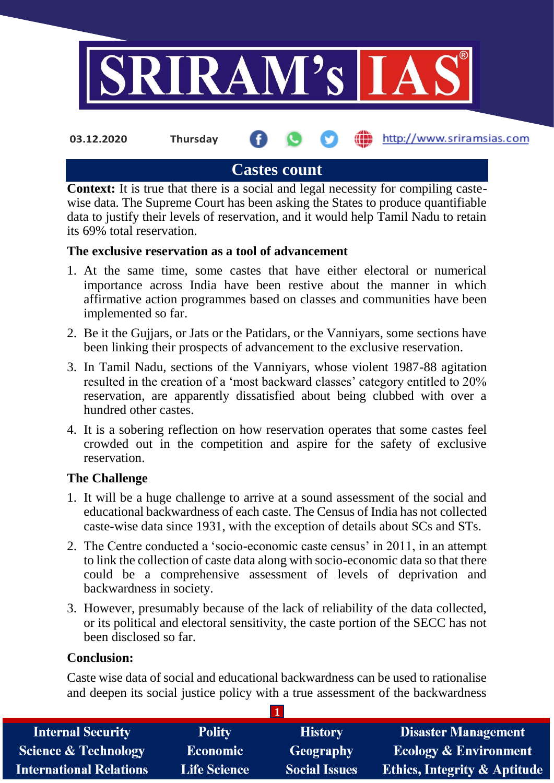

## **Castes count**

**Context:** It is true that there is a social and legal necessity for compiling castewise data. The Supreme Court has been asking the States to produce quantifiable data to justify their levels of reservation, and it would help Tamil Nadu to retain its 69% total reservation.

#### **The exclusive reservation as a tool of advancement**

- 1. At the same time, some castes that have either electoral or numerical importance across India have been restive about the manner in which affirmative action programmes based on classes and communities have been implemented so far.
- 2. Be it the Gujjars, or Jats or the Patidars, or the Vanniyars, some sections have been linking their prospects of advancement to the exclusive reservation.
- 3. In Tamil Nadu, sections of the Vanniyars, whose violent 1987-88 agitation resulted in the creation of a 'most backward classes' category entitled to 20% reservation, are apparently dissatisfied about being clubbed with over a hundred other castes.
- 4. It is a sobering reflection on how reservation operates that some castes feel crowded out in the competition and aspire for the safety of exclusive reservation.

#### **The Challenge**

- 1. It will be a huge challenge to arrive at a sound assessment of the social and educational backwardness of each caste. The Census of India has not collected caste-wise data since 1931, with the exception of details about SCs and STs.
- 2. The Centre conducted a 'socio-economic caste census' in 2011, in an attempt to link the collection of caste data along with socio-economic data so that there could be a comprehensive assessment of levels of deprivation and backwardness in society.
- 3. However, presumably because of the lack of reliability of the data collected, or its political and electoral sensitivity, the caste portion of the SECC has not been disclosed so far.

#### **Conclusion:**

Caste wise data of social and educational backwardness can be used to rationalise and deepen its social justice policy with a true assessment of the backwardness

**1**

| <b>Internal Security</b>        | <b>Polity</b>       | <b>History</b>       | <b>Disaster Management</b>              |  |  |  |
|---------------------------------|---------------------|----------------------|-----------------------------------------|--|--|--|
| <b>Science &amp; Technology</b> | <b>Economic</b>     | Geography            | <b>Ecology &amp; Environment</b>        |  |  |  |
| <b>International Relations</b>  | <b>Life Science</b> | <b>Social Issues</b> | <b>Ethics, Integrity &amp; Aptitude</b> |  |  |  |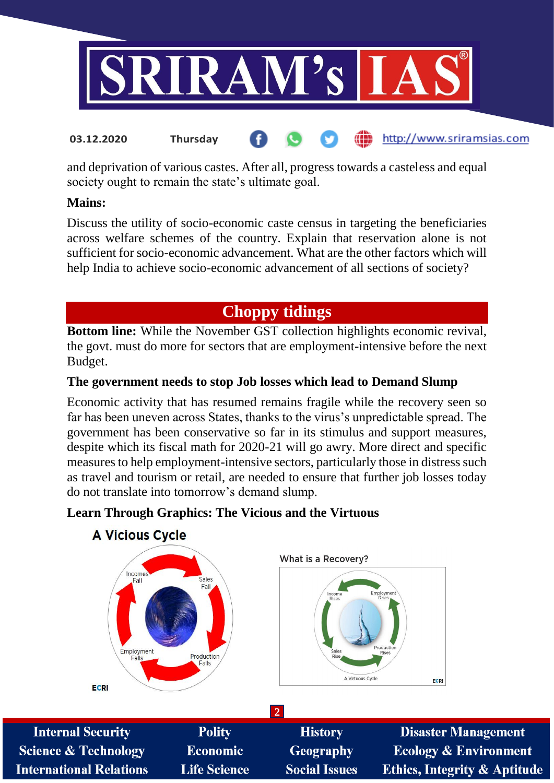

#### http://www.sriramsias.com **03.12.2020 Thursday**

and deprivation of various castes. After all, progress towards a casteless and equal society ought to remain the state's ultimate goal.

#### **Mains:**

Discuss the utility of socio-economic caste census in targeting the beneficiaries across welfare schemes of the country. Explain that reservation alone is not sufficient for socio-economic advancement. What are the other factors which will help India to achieve socio-economic advancement of all sections of society?

# **Choppy tidings**

**Bottom line:** While the November GST collection highlights economic revival, the govt. must do more for sectors that are employment-intensive before the next Budget.

### **The government needs to stop Job losses which lead to Demand Slump**

Economic activity that has resumed remains fragile while the recovery seen so far has been uneven across States, thanks to the virus's unpredictable spread. The government has been conservative so far in its stimulus and support measures, despite which its fiscal math for 2020-21 will go awry. More direct and specific measures to help employment-intensive sectors, particularly those in distress such as travel and tourism or retail, are needed to ensure that further job losses today do not translate into tomorrow's demand slump.

### **Learn Through Graphics: The Vicious and the Virtuous**



### **A Vicious Cycle**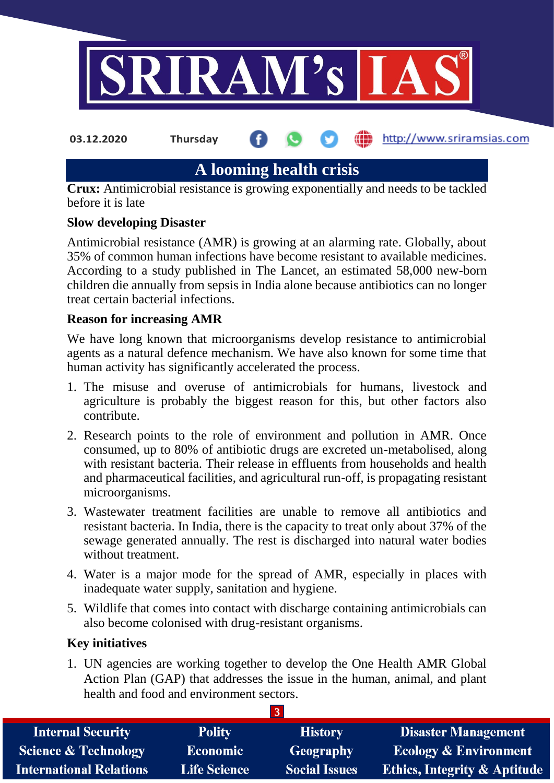

**03.12.2020 Thursday**

**fin** http://www.sriramsias.com

# **A looming health crisis**

**Crux:** Antimicrobial resistance is growing exponentially and needs to be tackled before it is late

#### **Slow developing Disaster**

Antimicrobial resistance (AMR) is growing at an alarming rate. Globally, about 35% of common human infections have become resistant to available medicines. According to a study published in The Lancet, an estimated 58,000 new-born children die annually from sepsis in India alone because antibiotics can no longer treat certain bacterial infections.

#### **Reason for increasing AMR**

We have long known that microorganisms develop resistance to antimicrobial agents as a natural defence mechanism. We have also known for some time that human activity has significantly accelerated the process.

- 1. The misuse and overuse of antimicrobials for humans, livestock and agriculture is probably the biggest reason for this, but other factors also contribute.
- 2. Research points to the role of environment and pollution in AMR. Once consumed, up to 80% of antibiotic drugs are excreted un-metabolised, along with resistant bacteria. Their release in effluents from households and health and pharmaceutical facilities, and agricultural run-off, is propagating resistant microorganisms.
- 3. Wastewater treatment facilities are unable to remove all antibiotics and resistant bacteria. In India, there is the capacity to treat only about 37% of the sewage generated annually. The rest is discharged into natural water bodies without treatment.
- 4. Water is a major mode for the spread of AMR, especially in places with inadequate water supply, sanitation and hygiene.
- 5. Wildlife that comes into contact with discharge containing antimicrobials can also become colonised with drug-resistant organisms.

### **Key initiatives**

1. UN agencies are working together to develop the One Health AMR Global Action Plan (GAP) that addresses the issue in the human, animal, and plant health and food and environment sectors.

**3**

| <b>Internal Security</b>        | <b>Polity</b>       | <b>History</b>       | <b>Disaster Management</b>              |  |  |  |
|---------------------------------|---------------------|----------------------|-----------------------------------------|--|--|--|
| <b>Science &amp; Technology</b> | <b>Economic</b>     | Geography            | <b>Ecology &amp; Environment</b>        |  |  |  |
| <b>International Relations</b>  | <b>Life Science</b> | <b>Social Issues</b> | <b>Ethics, Integrity &amp; Aptitude</b> |  |  |  |